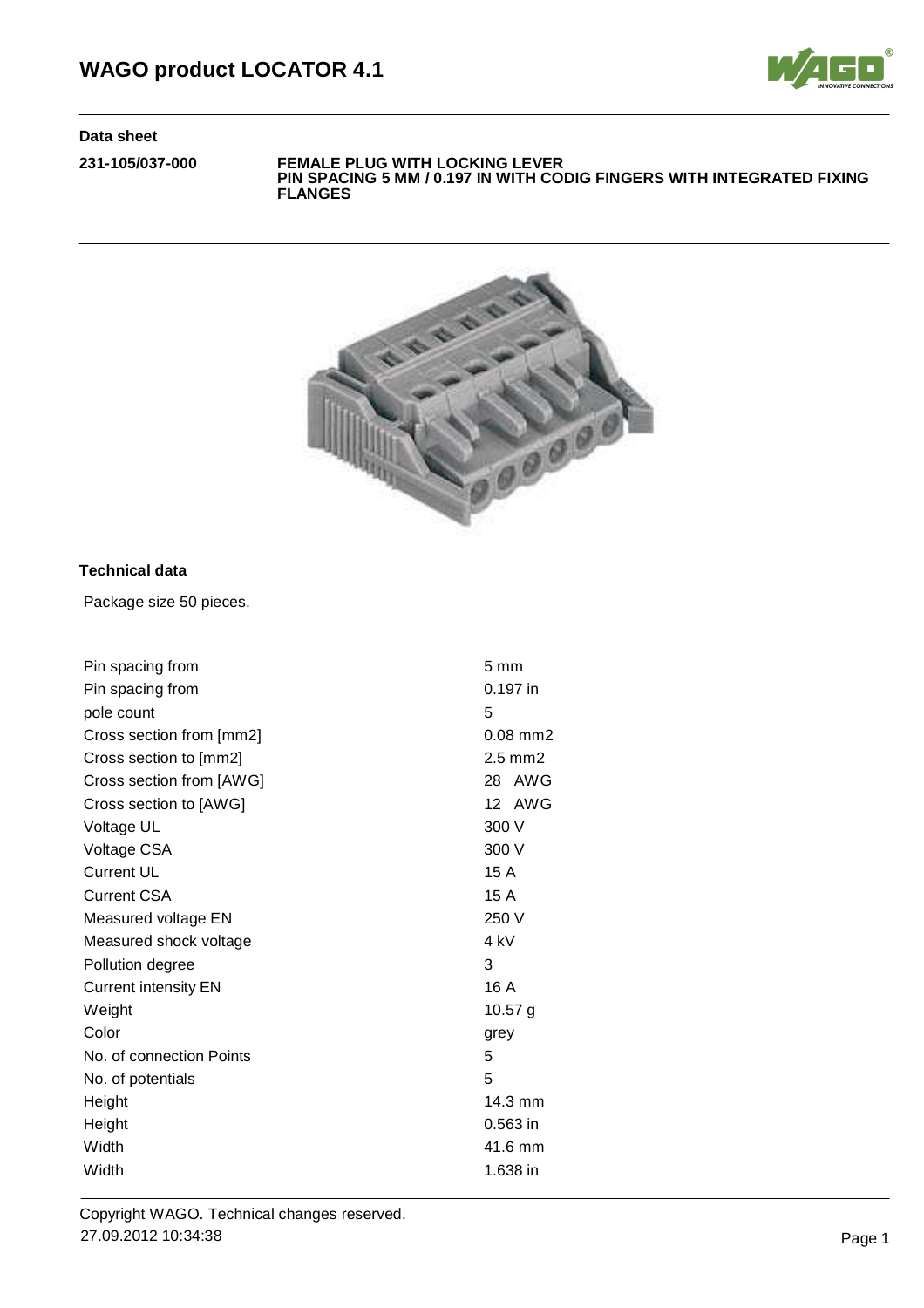

**231-105/037-000 FEMALE PLUG WITH LOCKING LEVER PIN SPACING 5 MM / 0.197 IN WITH CODIG FINGERS WITH INTEGRATED FIXING FLANGES**



# **Technical data**

Package size 50 pieces.

| Pin spacing from            | $5 \text{ mm}$    |  |
|-----------------------------|-------------------|--|
| Pin spacing from            | 0.197 in          |  |
| pole count                  | 5                 |  |
| Cross section from [mm2]    | $0.08$ mm $2$     |  |
| Cross section to [mm2]      | $2.5$ mm $2$      |  |
| Cross section from [AWG]    | 28 AWG            |  |
| Cross section to [AWG]      | 12 AWG            |  |
| Voltage UL                  | 300 V             |  |
| Voltage CSA                 | 300 V             |  |
| <b>Current UL</b>           | 15A               |  |
| <b>Current CSA</b>          | 15A               |  |
| Measured voltage EN         | 250 V             |  |
| Measured shock voltage      | 4 kV              |  |
| Pollution degree            | 3                 |  |
| <b>Current intensity EN</b> | 16 A              |  |
| Weight                      | $10.57$ g         |  |
| Color                       | grey              |  |
| No. of connection Points    | 5                 |  |
| No. of potentials           | 5                 |  |
| Height                      | $14.3 \text{ mm}$ |  |
| Height                      | $0.563$ in        |  |
| Width                       | 41.6 mm           |  |
| Width                       | 1.638 in          |  |
|                             |                   |  |

Copyright WAGO. Technical changes reserved. 27.09.2012 10:34:38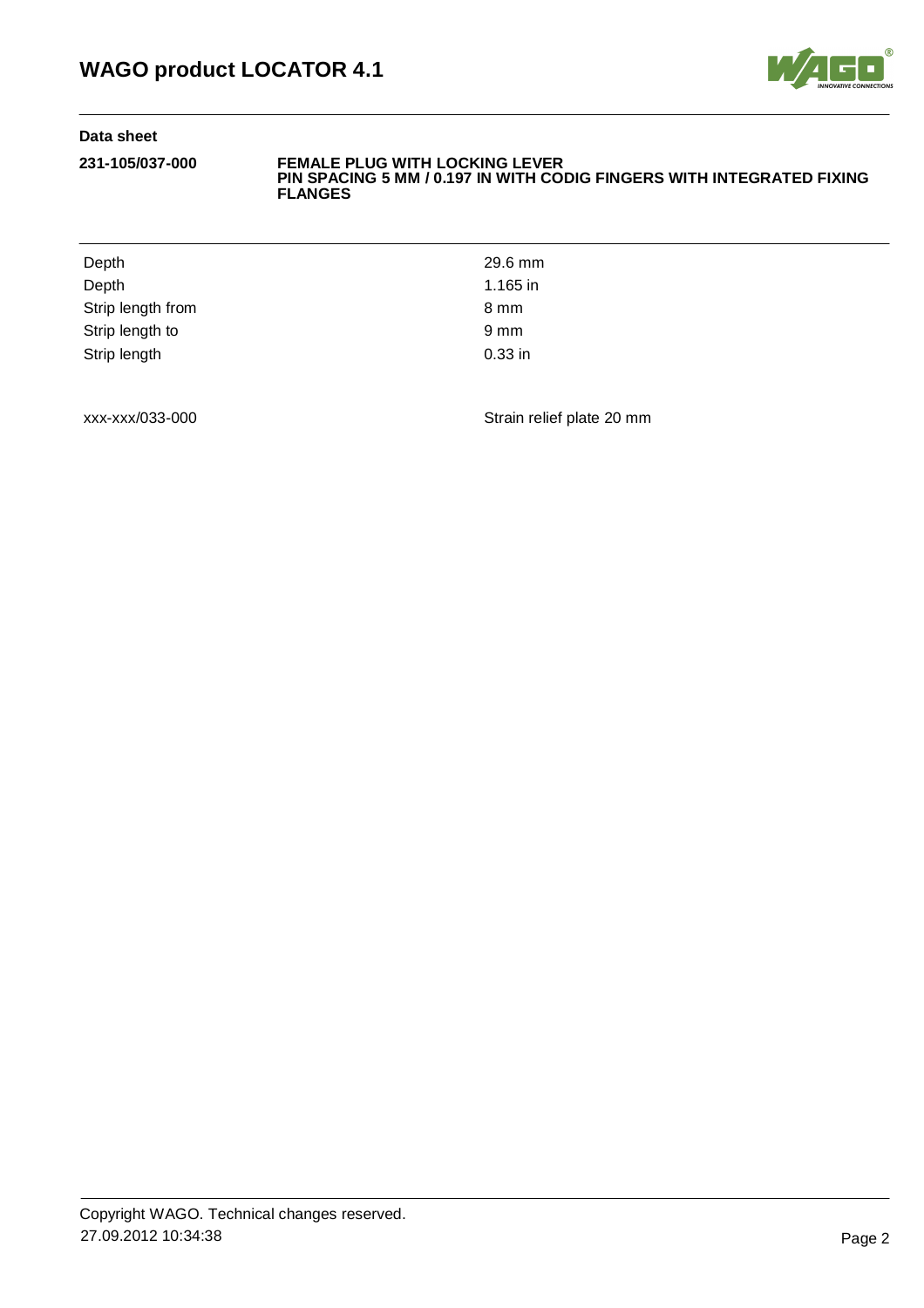

#### **231-105/037-000 FEMALE PLUG WITH LOCKING LEVER PIN SPACING 5 MM / 0.197 IN WITH CODIG FINGERS WITH INTEGRATED FIXING FLANGES**

| 29.6 mm          |
|------------------|
| 1.165 in         |
| 8 mm             |
| $9 \, \text{mm}$ |
| $0.33$ in        |
|                  |

xxx-xxx/033-000 Strain relief plate 20 mm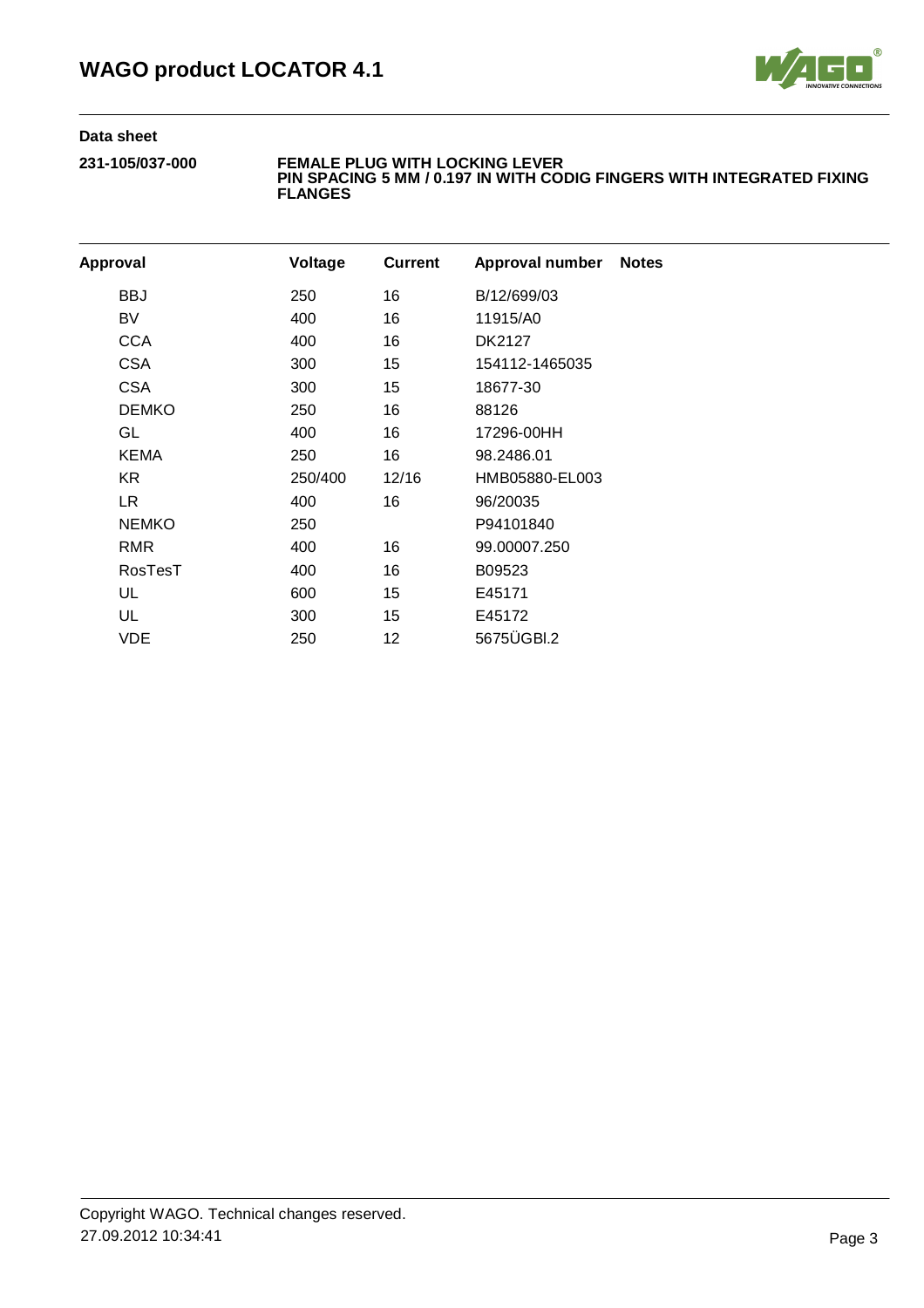

#### **231-105/037-000 FEMALE PLUG WITH LOCKING LEVER PIN SPACING 5 MM / 0.197 IN WITH CODIG FINGERS WITH INTEGRATED FIXING FLANGES**

| Approval |                | Voltage | <b>Current</b> | Approval number | <b>Notes</b> |
|----------|----------------|---------|----------------|-----------------|--------------|
|          | <b>BBJ</b>     | 250     | 16             | B/12/699/03     |              |
|          | BV             | 400     | 16             | 11915/A0        |              |
|          | <b>CCA</b>     | 400     | 16             | DK2127          |              |
|          | <b>CSA</b>     | 300     | 15             | 154112-1465035  |              |
|          | <b>CSA</b>     | 300     | 15             | 18677-30        |              |
|          | <b>DEMKO</b>   | 250     | 16             | 88126           |              |
|          | GL             | 400     | 16             | 17296-00HH      |              |
|          | <b>KEMA</b>    | 250     | 16             | 98.2486.01      |              |
|          | KR.            | 250/400 | 12/16          | HMB05880-EL003  |              |
|          | LR.            | 400     | 16             | 96/20035        |              |
|          | <b>NEMKO</b>   | 250     |                | P94101840       |              |
|          | RMR            | 400     | 16             | 99.00007.250    |              |
|          | <b>RosTesT</b> | 400     | 16             | B09523          |              |
|          | UL             | 600     | 15             | E45171          |              |
|          | UL             | 300     | 15             | E45172          |              |
|          | VDE            | 250     | 12             | 5675ÜGBI.2      |              |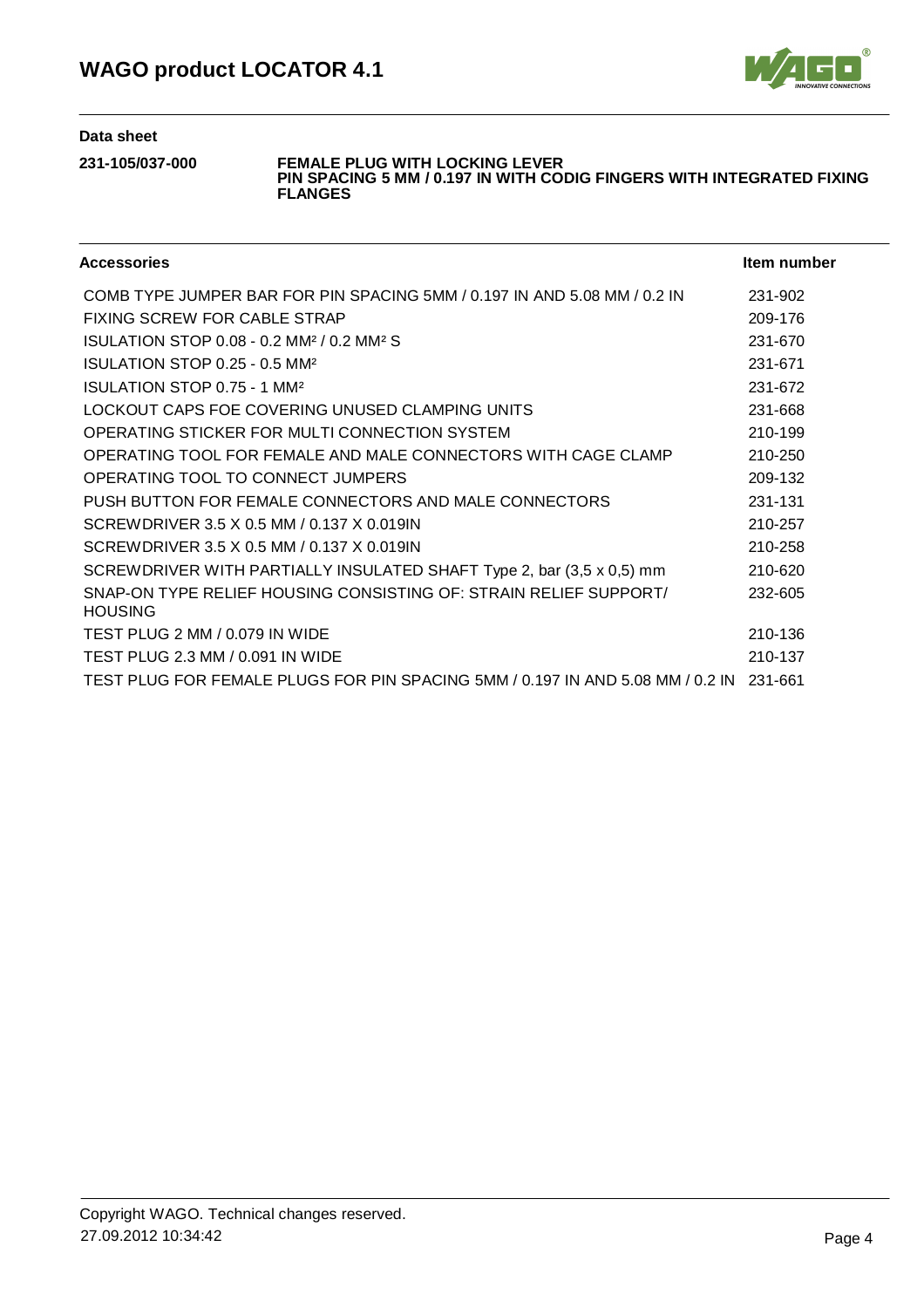

## **231-105/037-000 FEMALE PLUG WITH LOCKING LEVER**

**PIN SPACING 5 MM / 0.197 IN WITH CODIG FINGERS WITH INTEGRATED FIXING FLANGES**

| <b>Accessories</b>                                                                     | Item number |
|----------------------------------------------------------------------------------------|-------------|
| COMB TYPE JUMPER BAR FOR PIN SPACING 5MM / 0.197 IN AND 5.08 MM / 0.2 IN               | 231-902     |
| FIXING SCREW FOR CABLE STRAP                                                           | 209-176     |
| ISULATION STOP 0.08 - 0.2 MM <sup>2</sup> / 0.2 MM <sup>2</sup> S                      | 231-670     |
| ISULATION STOP 0.25 - 0.5 MM <sup>2</sup>                                              | 231-671     |
| ISULATION STOP 0.75 - 1 MM <sup>2</sup>                                                | 231-672     |
| LOCKOUT CAPS FOE COVERING UNUSED CLAMPING UNITS                                        | 231-668     |
| OPERATING STICKER FOR MULTI CONNECTION SYSTEM                                          | 210-199     |
| OPERATING TOOL FOR FEMALE AND MALE CONNECTORS WITH CAGE CLAMP                          | 210-250     |
| OPERATING TOOL TO CONNECT JUMPERS                                                      | 209-132     |
| PUSH BUTTON FOR FEMALE CONNECTORS AND MALE CONNECTORS                                  | 231-131     |
| SCREWDRIVER 3.5 X 0.5 MM / 0.137 X 0.019IN                                             | 210-257     |
| SCREWDRIVER 3.5 X 0.5 MM / 0.137 X 0.019IN                                             | 210-258     |
| SCREWDRIVER WITH PARTIALLY INSULATED SHAFT Type 2, bar (3,5 x 0,5) mm                  | 210-620     |
| SNAP-ON TYPE RELIEF HOUSING CONSISTING OF: STRAIN RELIEF SUPPORT/<br><b>HOUSING</b>    | 232-605     |
| TEST PLUG 2 MM / 0.079 IN WIDE                                                         | 210-136     |
| TEST PLUG 2.3 MM / 0.091 IN WIDE                                                       | 210-137     |
| TEST PLUG FOR FEMALE PLUGS FOR PIN SPACING 5MM / 0.197 IN AND 5.08 MM / 0.2 IN 231-661 |             |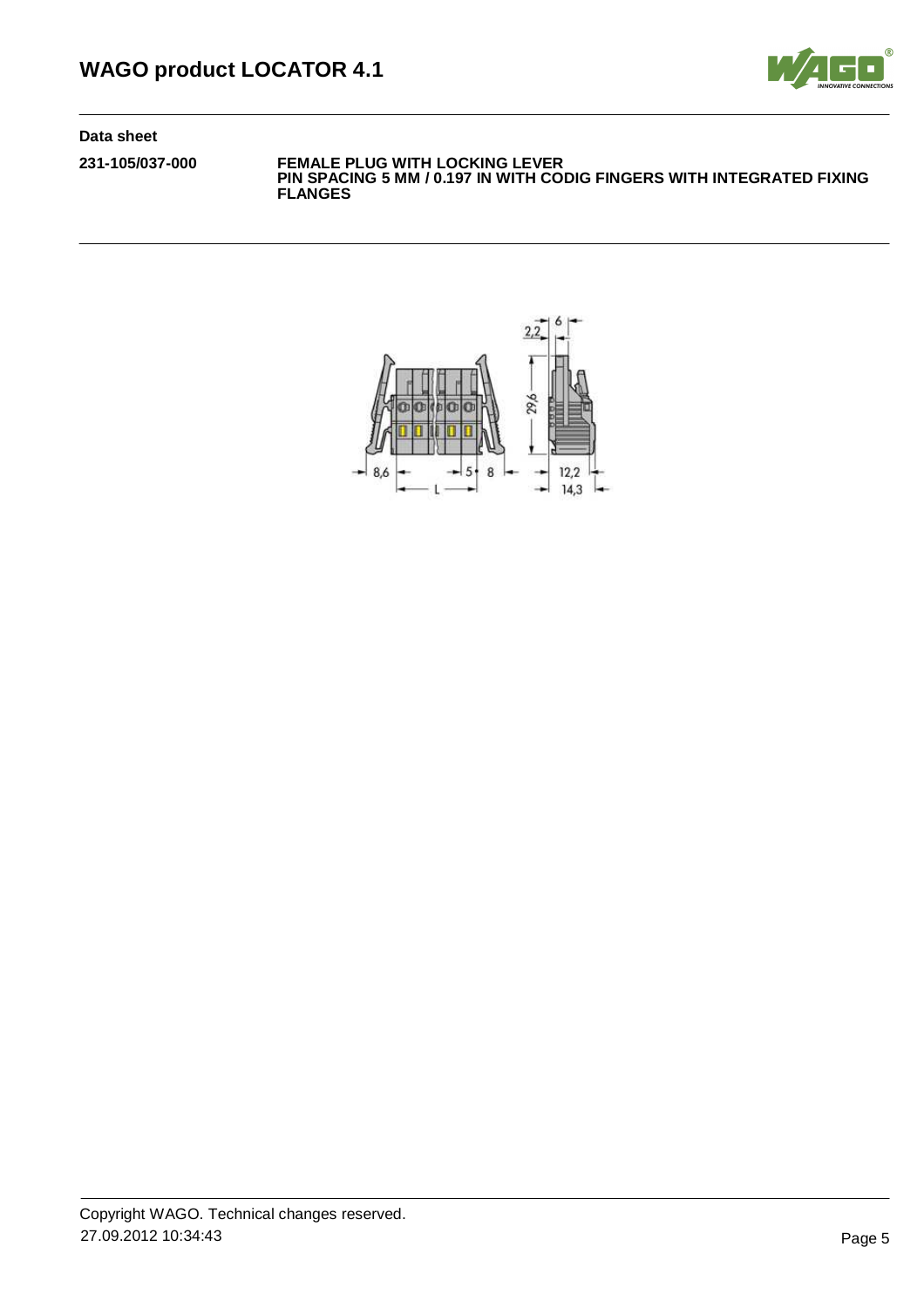

**231-105/037-000 FEMALE PLUG WITH LOCKING LEVER PIN SPACING 5 MM / 0.197 IN WITH CODIG FINGERS WITH INTEGRATED FIXING FLANGES**